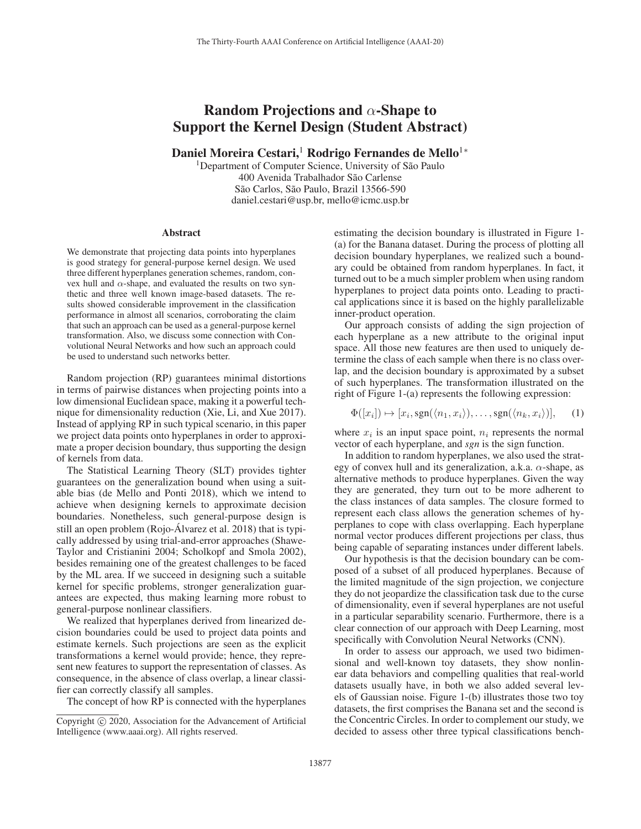## Random Projections and  $\alpha$ -Shape to Support the Kernel Design (Student Abstract)

Daniel Moreira Cestari,<sup>1</sup> Rodrigo Fernandes de Mello<sup>1</sup><sup>∗</sup>

<sup>1</sup>Department of Computer Science, University of São Paulo 400 Avenida Trabalhador São Carlense São Carlos, São Paulo, Brazil 13566-590 daniel.cestari@usp.br, mello@icmc.usp.br

## **Abstract**

We demonstrate that projecting data points into hyperplanes is good strategy for general-purpose kernel design. We used three different hyperplanes generation schemes, random, convex hull and  $\alpha$ -shape, and evaluated the results on two synthetic and three well known image-based datasets. The results showed considerable improvement in the classification performance in almost all scenarios, corroborating the claim that such an approach can be used as a general-purpose kernel transformation. Also, we discuss some connection with Convolutional Neural Networks and how such an approach could be used to understand such networks better.

Random projection (RP) guarantees minimal distortions in terms of pairwise distances when projecting points into a low dimensional Euclidean space, making it a powerful technique for dimensionality reduction (Xie, Li, and Xue 2017). Instead of applying RP in such typical scenario, in this paper we project data points onto hyperplanes in order to approximate a proper decision boundary, thus supporting the design of kernels from data.

The Statistical Learning Theory (SLT) provides tighter guarantees on the generalization bound when using a suitable bias (de Mello and Ponti 2018), which we intend to achieve when designing kernels to approximate decision boundaries. Nonetheless, such general-purpose design is still an open problem (Rojo-Alvarez et al. 2018) that is typi- ´ cally addressed by using trial-and-error approaches (Shawe-Taylor and Cristianini 2004; Scholkopf and Smola 2002), besides remaining one of the greatest challenges to be faced by the ML area. If we succeed in designing such a suitable kernel for specific problems, stronger generalization guarantees are expected, thus making learning more robust to general-purpose nonlinear classifiers.

We realized that hyperplanes derived from linearized decision boundaries could be used to project data points and estimate kernels. Such projections are seen as the explicit transformations a kernel would provide; hence, they represent new features to support the representation of classes. As consequence, in the absence of class overlap, a linear classifier can correctly classify all samples.

The concept of how RP is connected with the hyperplanes

estimating the decision boundary is illustrated in Figure 1- (a) for the Banana dataset. During the process of plotting all decision boundary hyperplanes, we realized such a boundary could be obtained from random hyperplanes. In fact, it turned out to be a much simpler problem when using random hyperplanes to project data points onto. Leading to practical applications since it is based on the highly parallelizable inner-product operation.

Our approach consists of adding the sign projection of each hyperplane as a new attribute to the original input space. All those new features are then used to uniquely determine the class of each sample when there is no class overlap, and the decision boundary is approximated by a subset of such hyperplanes. The transformation illustrated on the right of Figure 1-(a) represents the following expression:

$$
\Phi([x_i]) \mapsto [x_i, \text{sgn}(\langle n_1, x_i \rangle), \dots, \text{sgn}(\langle n_k, x_i \rangle)], \quad (1)
$$

where  $x_i$  is an input space point,  $n_i$  represents the normal vector of each hyperplane, and *sgn* is the sign function.

In addition to random hyperplanes, we also used the strategy of convex hull and its generalization, a.k.a.  $\alpha$ -shape, as alternative methods to produce hyperplanes. Given the way they are generated, they turn out to be more adherent to the class instances of data samples. The closure formed to represent each class allows the generation schemes of hyperplanes to cope with class overlapping. Each hyperplane normal vector produces different projections per class, thus being capable of separating instances under different labels.

Our hypothesis is that the decision boundary can be composed of a subset of all produced hyperplanes. Because of the limited magnitude of the sign projection, we conjecture they do not jeopardize the classification task due to the curse of dimensionality, even if several hyperplanes are not useful in a particular separability scenario. Furthermore, there is a clear connection of our approach with Deep Learning, most specifically with Convolution Neural Networks (CNN).

In order to assess our approach, we used two bidimensional and well-known toy datasets, they show nonlinear data behaviors and compelling qualities that real-world datasets usually have, in both we also added several levels of Gaussian noise. Figure 1-(b) illustrates those two toy datasets, the first comprises the Banana set and the second is the Concentric Circles. In order to complement our study, we decided to assess other three typical classifications bench-

Copyright  $\odot$  2020, Association for the Advancement of Artificial Intelligence (www.aaai.org). All rights reserved.